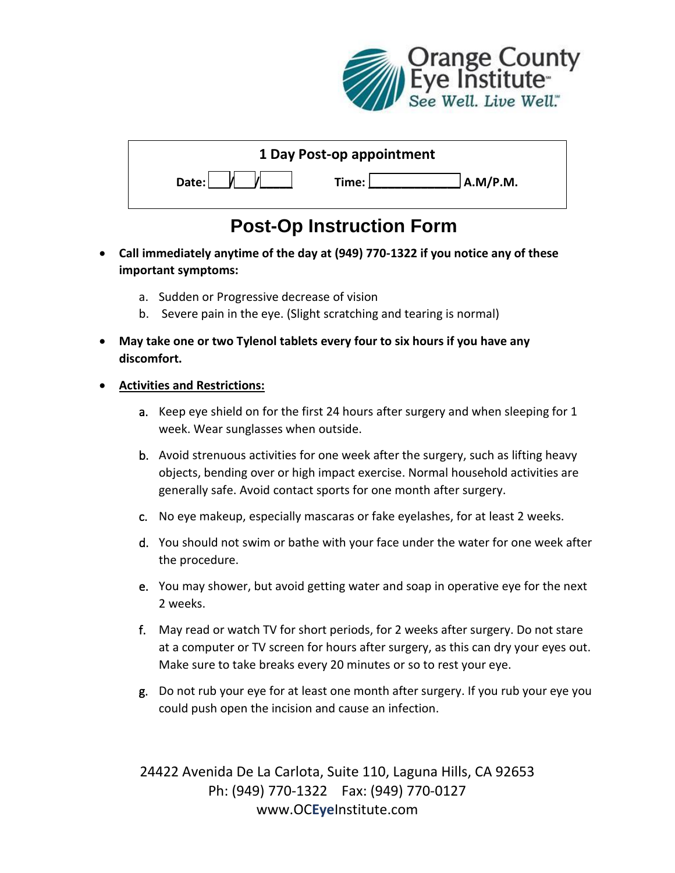

| 1 Day Post-op appointment |                   |
|---------------------------|-------------------|
| Date:                     | A.M/P.M.<br>Time: |

## **Post-Op Instruction Form**

- **Call immediately anytime of the day at (949) 770-1322 if you notice any of these important symptoms:**
	- a. Sudden or Progressive decrease of vision
	- b. Severe pain in the eye. (Slight scratching and tearing is normal)
- **May take one or two Tylenol tablets every four to six hours if you have any discomfort.**

## **Activities and Restrictions:**

- a. Keep eye shield on for the first 24 hours after surgery and when sleeping for 1 week. Wear sunglasses when outside.
- b. Avoid strenuous activities for one week after the surgery, such as lifting heavy objects, bending over or high impact exercise. Normal household activities are generally safe. Avoid contact sports for one month after surgery.
- c. No eye makeup, especially mascaras or fake eyelashes, for at least 2 weeks.
- d. You should not swim or bathe with your face under the water for one week after the procedure.
- e. You may shower, but avoid getting water and soap in operative eye for the next 2 weeks.
- f. May read or watch TV for short periods, for 2 weeks after surgery. Do not stare at a computer or TV screen for hours after surgery, as this can dry your eyes out. Make sure to take breaks every 20 minutes or so to rest your eye.
- g. Do not rub your eye for at least one month after surgery. If you rub your eye you could push open the incision and cause an infection.

24422 Avenida De La Carlota, Suite 110, Laguna Hills, CA 92653 Ph: (949) 770-1322 Fax: (949) 770-0127 www.OC**Eye**Institute.com